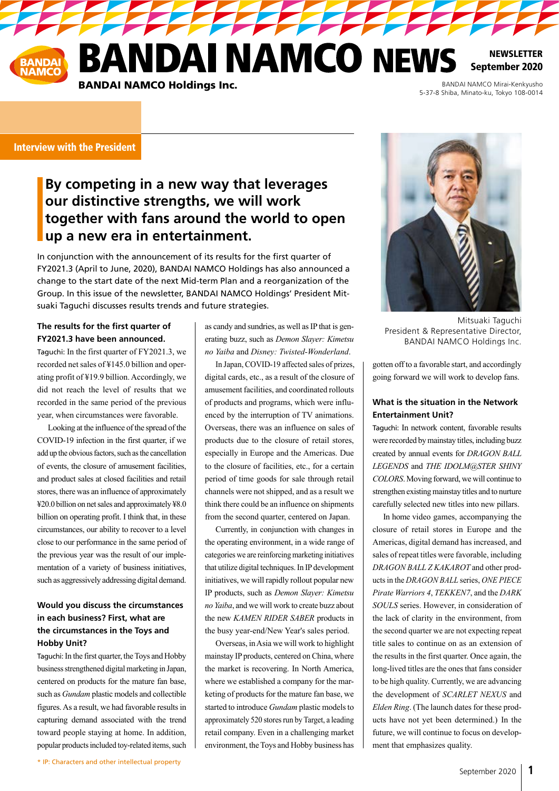**ANDAI NAMCO NEWS** 

**A MARIA A MARIA A MARIA A MARIA A MARIA A MARIA A MARIA A MARIA A MARIA A MARIA A MARIA A MARIA A MARIA A MAR** 

**NEWSLETTER** September 2020

BANDAI NAMCO Holdings Inc.

BANDAI NAMCO Mirai-Kenkyusho 5-37-8 Shiba, Minato-ku, Tokyo 108-0014

#### Interview with the President

# **By competing in a new way that leverages our distinctive strengths, we will work together with fans around the world to open up a new era in entertainment.**

In conjunction with the announcement of its results for the first quarter of FY2021.3 (April to June, 2020), BANDAI NAMCO Holdings has also announced a change to the start date of the next Mid-term Plan and a reorganization of the Group. In this issue of the newsletter, BANDAI NAMCO Holdings' President Mitsuaki Taguchi discusses results trends and future strategies.

#### **The results for the first quarter of FY2021.3 have been announced.**

Taguchi: In the first quarter of FY2021.3, we recorded net sales of ¥145.0 billion and operating profit of ¥19.9 billion. Accordingly, we did not reach the level of results that we recorded in the same period of the previous year, when circumstances were favorable.

Looking at the influence of the spread of the COVID-19 infection in the first quarter, if we add up the obvious factors, such as the cancellation of events, the closure of amusement facilities, and product sales at closed facilities and retail stores, there was an influence of approximately ¥20.0 billion on net sales and approximately ¥8.0 billion on operating profit. I think that, in these circumstances, our ability to recover to a level close to our performance in the same period of the previous year was the result of our implementation of a variety of business initiatives, such as aggressively addressing digital demand.

### **Would you discuss the circumstances in each business? First, what are the circumstances in the Toys and Hobby Unit?**

Taguchi: In the first quarter, the Toys and Hobby business strengthened digital marketing in Japan, centered on products for the mature fan base, such as *Gundam* plastic models and collectible figures. As a result, we had favorable results in capturing demand associated with the trend toward people staying at home. In addition, popular products included toy-related items, such

as candy and sundries, as well as IP that is generating buzz, such as *Demon Slayer: Kimetsu no Yaiba* and *Disney: Twisted-Wonderland*.

In Japan, COVID-19 affected sales of prizes, digital cards, etc., as a result of the closure of amusement facilities, and coordinated rollouts of products and programs, which were influenced by the interruption of TV animations. Overseas, there was an influence on sales of products due to the closure of retail stores, especially in Europe and the Americas. Due to the closure of facilities, etc., for a certain period of time goods for sale through retail channels were not shipped, and as a result we think there could be an influence on shipments from the second quarter, centered on Japan.

Currently, in conjunction with changes in the operating environment, in a wide range of categories we are reinforcing marketing initiatives that utilize digital techniques. In IP development initiatives, we will rapidly rollout popular new IP products, such as *Demon Slayer: Kimetsu no Yaiba*, and we will work to create buzz about the new *KAMEN RIDER SABER* products in the busy year-end/New Year's sales period.

Overseas, in Asia we will work to highlight mainstay IP products, centered on China, where the market is recovering. In North America, where we established a company for the marketing of products for the mature fan base, we started to introduce *Gundam* plastic models to approximately 520 stores run by Target, a leading retail company. Even in a challenging market environment, the Toys and Hobby business has



Mitsuaki Taguchi President & Representative Director, BANDAI NAMCO Holdings Inc.

gotten off to a favorable start, and accordingly going forward we will work to develop fans.

### **What is the situation in the Network Entertainment Unit?**

Taguchi: In network content, favorable results were recorded by mainstay titles, including buzz created by annual events for *DRAGON BALL LEGENDS* and *THE IDOLM@STER SHINY COLORS*. Moving forward, we will continue to strengthen existing mainstay titles and to nurture carefully selected new titles into new pillars.

In home video games, accompanying the closure of retail stores in Europe and the Americas, digital demand has increased, and sales of repeat titles were favorable, including *DRAGON BALL Z KAKAROT* and other products in the *DRAGON BALL* series, *ONE PIECE Pirate Warriors 4*, *TEKKEN7*, and the *DARK SOULS* series. However, in consideration of the lack of clarity in the environment, from the second quarter we are not expecting repeat title sales to continue on as an extension of the results in the first quarter. Once again, the long-lived titles are the ones that fans consider to be high quality. Currently, we are advancing the development of *SCARLET NEXUS* and *Elden Ring*. (The launch dates for these products have not yet been determined.) In the future, we will continue to focus on development that emphasizes quality.